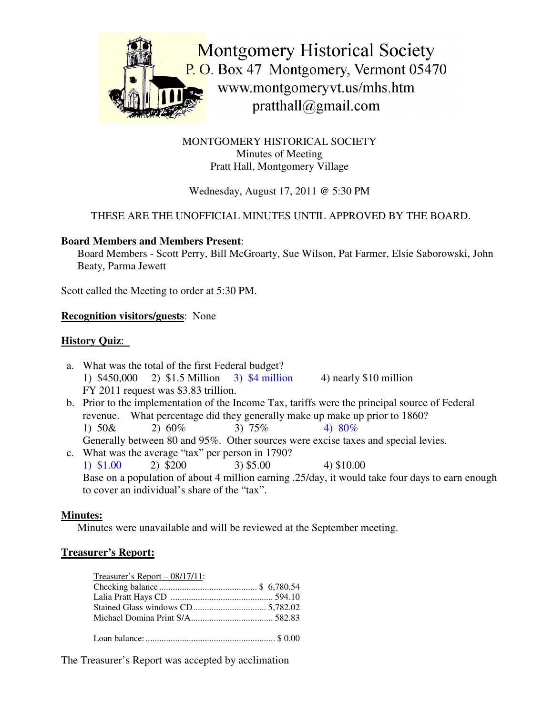

MONTGOMERY HISTORICAL SOCIETY Minutes of Meeting Pratt Hall, Montgomery Village

# Wednesday, August 17, 2011 @ 5:30 PM

# THESE ARE THE UNOFFICIAL MINUTES UNTIL APPROVED BY THE BOARD.

#### **Board Members and Members Present**:

Board Members - Scott Perry, Bill McGroarty, Sue Wilson, Pat Farmer, Elsie Saborowski, John Beaty, Parma Jewett

Scott called the Meeting to order at 5:30 PM.

#### **Recognition visitors/guests**: None

### **History Quiz**:

- a. What was the total of the first Federal budget? 1) \$450,000 2) \$1.5 Million 3) \$4 million 4) nearly \$10 million FY 2011 request was \$3.83 trillion.
- b. Prior to the implementation of the Income Tax, tariffs were the principal source of Federal revenue. What percentage did they generally make up make up prior to 1860? 1)  $50\& 2) 60\% 3) 75\% 4) 80\%$ Generally between 80 and 95%. Other sources were excise taxes and special levies.
- c. What was the average "tax" per person in 1790? 1) \$1.00 2) \$200 3) \$5.00 4) \$10.00 Base on a population of about 4 million earning .25/day, it would take four days to earn enough to cover an individual's share of the "tax".

### **Minutes:**

Minutes were unavailable and will be reviewed at the September meeting.

### **Treasurer's Report:**

| Treasurer's Report $-08/17/11$ : |  |
|----------------------------------|--|
|                                  |  |
|                                  |  |
|                                  |  |
|                                  |  |
|                                  |  |

The Treasurer's Report was accepted by acclimation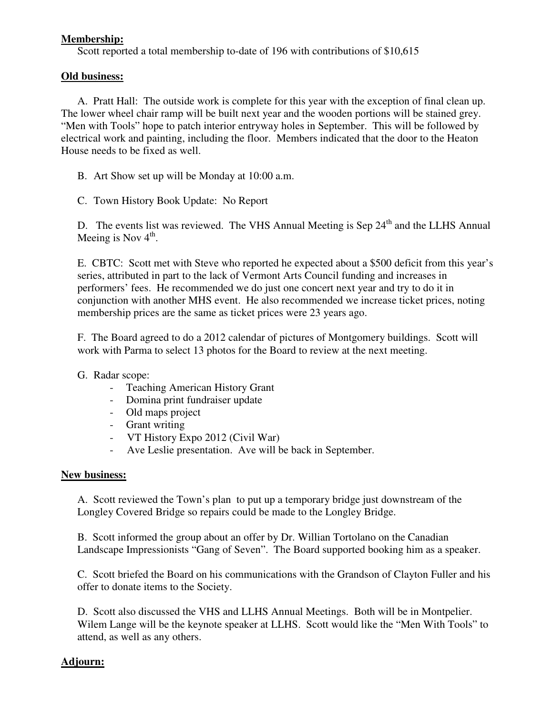### **Membership:**

Scott reported a total membership to-date of 196 with contributions of \$10,615

#### **Old business:**

A. Pratt Hall: The outside work is complete for this year with the exception of final clean up. The lower wheel chair ramp will be built next year and the wooden portions will be stained grey. "Men with Tools" hope to patch interior entryway holes in September. This will be followed by electrical work and painting, including the floor. Members indicated that the door to the Heaton House needs to be fixed as well.

B. Art Show set up will be Monday at 10:00 a.m.

C. Town History Book Update: No Report

D. The events list was reviewed. The VHS Annual Meeting is Sep 24<sup>th</sup> and the LLHS Annual Meeing is Nov 4<sup>th</sup>.

E. CBTC: Scott met with Steve who reported he expected about a \$500 deficit from this year's series, attributed in part to the lack of Vermont Arts Council funding and increases in performers' fees. He recommended we do just one concert next year and try to do it in conjunction with another MHS event. He also recommended we increase ticket prices, noting membership prices are the same as ticket prices were 23 years ago.

F. The Board agreed to do a 2012 calendar of pictures of Montgomery buildings. Scott will work with Parma to select 13 photos for the Board to review at the next meeting.

G. Radar scope:

- Teaching American History Grant
- Domina print fundraiser update
- Old maps project
- Grant writing
- VT History Expo 2012 (Civil War)
- Ave Leslie presentation. Ave will be back in September.

#### **New business:**

A. Scott reviewed the Town's plan to put up a temporary bridge just downstream of the Longley Covered Bridge so repairs could be made to the Longley Bridge.

B. Scott informed the group about an offer by Dr. Willian Tortolano on the Canadian Landscape Impressionists "Gang of Seven". The Board supported booking him as a speaker.

C. Scott briefed the Board on his communications with the Grandson of Clayton Fuller and his offer to donate items to the Society.

D. Scott also discussed the VHS and LLHS Annual Meetings. Both will be in Montpelier. Wilem Lange will be the keynote speaker at LLHS. Scott would like the "Men With Tools" to attend, as well as any others.

### **Adjourn:**